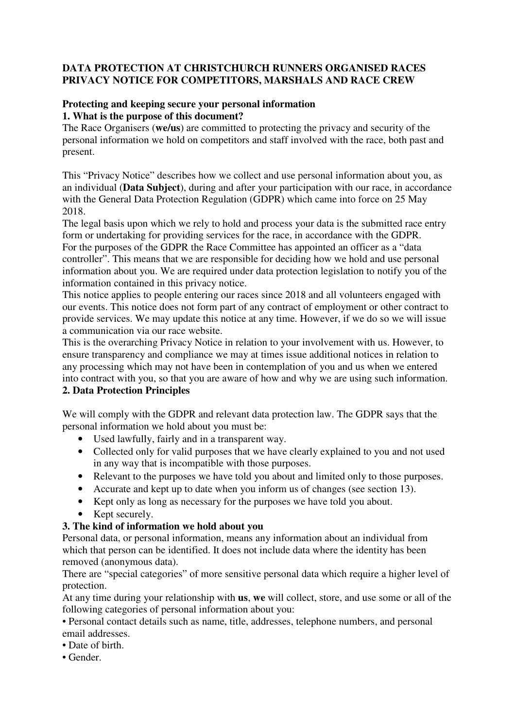### **DATA PROTECTION AT CHRISTCHURCH RUNNERS ORGANISED RACES PRIVACY NOTICE FOR COMPETITORS, MARSHALS AND RACE CREW**

### **Protecting and keeping secure your personal information 1. What is the purpose of this document?**

The Race Organisers (**we/us**) are committed to protecting the privacy and security of the personal information we hold on competitors and staff involved with the race, both past and present.

This "Privacy Notice" describes how we collect and use personal information about you, as an individual (**Data Subject**), during and after your participation with our race, in accordance with the General Data Protection Regulation (GDPR) which came into force on 25 May 2018.

The legal basis upon which we rely to hold and process your data is the submitted race entry form or undertaking for providing services for the race, in accordance with the GDPR. For the purposes of the GDPR the Race Committee has appointed an officer as a "data controller". This means that we are responsible for deciding how we hold and use personal information about you. We are required under data protection legislation to notify you of the information contained in this privacy notice.

This notice applies to people entering our races since 2018 and all volunteers engaged with our events. This notice does not form part of any contract of employment or other contract to provide services. We may update this notice at any time. However, if we do so we will issue a communication via our race website.

This is the overarching Privacy Notice in relation to your involvement with us. However, to ensure transparency and compliance we may at times issue additional notices in relation to any processing which may not have been in contemplation of you and us when we entered into contract with you, so that you are aware of how and why we are using such information.

## **2. Data Protection Principles**

We will comply with the GDPR and relevant data protection law. The GDPR says that the personal information we hold about you must be:

- Used lawfully, fairly and in a transparent way.
- Collected only for valid purposes that we have clearly explained to you and not used in any way that is incompatible with those purposes.
- Relevant to the purposes we have told you about and limited only to those purposes.
- Accurate and kept up to date when you inform us of changes (see section 13).
- Kept only as long as necessary for the purposes we have told you about.
- Kept securely.

## **3. The kind of information we hold about you**

Personal data, or personal information, means any information about an individual from which that person can be identified. It does not include data where the identity has been removed (anonymous data).

There are "special categories" of more sensitive personal data which require a higher level of protection.

At any time during your relationship with **us**, **we** will collect, store, and use some or all of the following categories of personal information about you:

• Personal contact details such as name, title, addresses, telephone numbers, and personal email addresses.

- Date of birth.
- Gender.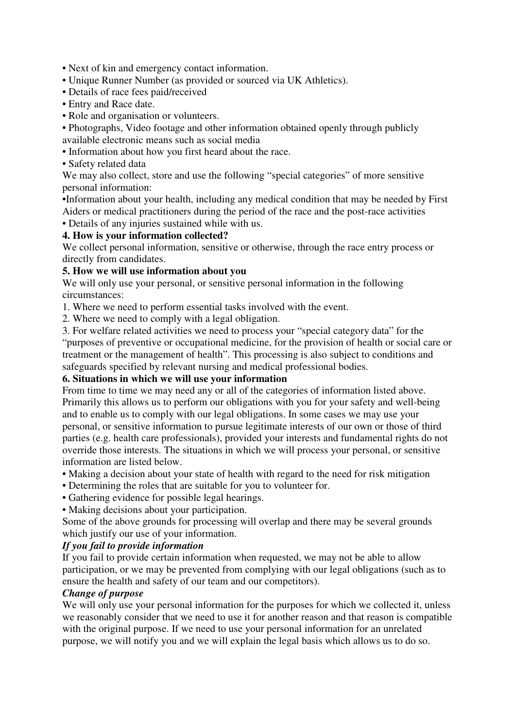- Next of kin and emergency contact information.
- Unique Runner Number (as provided or sourced via UK Athletics).
- Details of race fees paid/received
- Entry and Race date.
- Role and organisation or volunteers.
- Photographs, Video footage and other information obtained openly through publicly available electronic means such as social media
- Information about how you first heard about the race.
- Safety related data

We may also collect, store and use the following "special categories" of more sensitive personal information:

•Information about your health, including any medical condition that may be needed by First Aiders or medical practitioners during the period of the race and the post-race activities

• Details of any injuries sustained while with us.

### **4. How is your information collected?**

We collect personal information, sensitive or otherwise, through the race entry process or directly from candidates.

### **5. How we will use information about you**

We will only use your personal, or sensitive personal information in the following circumstances:

1. Where we need to perform essential tasks involved with the event.

2. Where we need to comply with a legal obligation.

3. For welfare related activities we need to process your "special category data" for the "purposes of preventive or occupational medicine, for the provision of health or social care or treatment or the management of health". This processing is also subject to conditions and safeguards specified by relevant nursing and medical professional bodies.

#### **6. Situations in which we will use your information**

From time to time we may need any or all of the categories of information listed above. Primarily this allows us to perform our obligations with you for your safety and well-being and to enable us to comply with our legal obligations. In some cases we may use your personal, or sensitive information to pursue legitimate interests of our own or those of third parties (e.g. health care professionals), provided your interests and fundamental rights do not override those interests. The situations in which we will process your personal, or sensitive information are listed below.

- Making a decision about your state of health with regard to the need for risk mitigation
- Determining the roles that are suitable for you to volunteer for.
- Gathering evidence for possible legal hearings.
- Making decisions about your participation.

Some of the above grounds for processing will overlap and there may be several grounds which justify our use of your information.

# *If you fail to provide information*

If you fail to provide certain information when requested, we may not be able to allow participation, or we may be prevented from complying with our legal obligations (such as to ensure the health and safety of our team and our competitors).

### *Change of purpose*

We will only use your personal information for the purposes for which we collected it, unless we reasonably consider that we need to use it for another reason and that reason is compatible with the original purpose. If we need to use your personal information for an unrelated purpose, we will notify you and we will explain the legal basis which allows us to do so.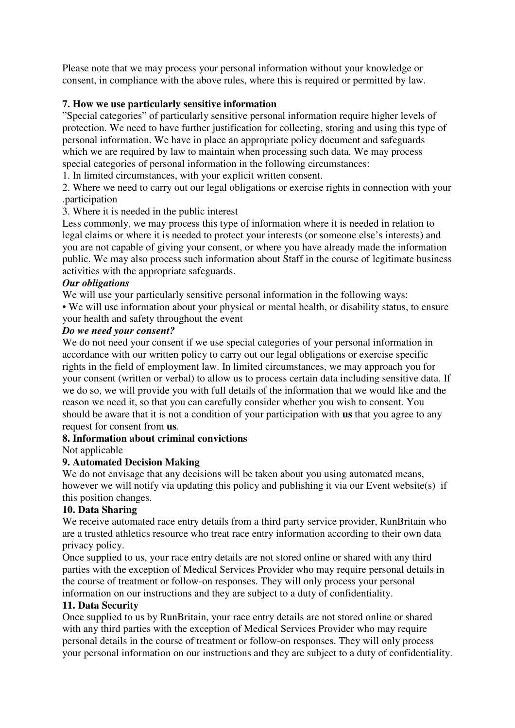Please note that we may process your personal information without your knowledge or consent, in compliance with the above rules, where this is required or permitted by law.

## **7. How we use particularly sensitive information**

"Special categories" of particularly sensitive personal information require higher levels of protection. We need to have further justification for collecting, storing and using this type of personal information. We have in place an appropriate policy document and safeguards which we are required by law to maintain when processing such data. We may process special categories of personal information in the following circumstances:

1. In limited circumstances, with your explicit written consent.

2. Where we need to carry out our legal obligations or exercise rights in connection with your .participation

### 3. Where it is needed in the public interest

Less commonly, we may process this type of information where it is needed in relation to legal claims or where it is needed to protect your interests (or someone else's interests) and you are not capable of giving your consent, or where you have already made the information public. We may also process such information about Staff in the course of legitimate business activities with the appropriate safeguards.

#### *Our obligations*

We will use your particularly sensitive personal information in the following ways:

• We will use information about your physical or mental health, or disability status, to ensure your health and safety throughout the event

### *Do we need your consent?*

We do not need your consent if we use special categories of your personal information in accordance with our written policy to carry out our legal obligations or exercise specific rights in the field of employment law. In limited circumstances, we may approach you for your consent (written or verbal) to allow us to process certain data including sensitive data. If we do so, we will provide you with full details of the information that we would like and the reason we need it, so that you can carefully consider whether you wish to consent. You should be aware that it is not a condition of your participation with **us** that you agree to any request for consent from **us**.

## **8. Information about criminal convictions**

#### Not applicable

## **9. Automated Decision Making**

We do not envisage that any decisions will be taken about you using automated means, however we will notify via updating this policy and publishing it via our Event website(s) if this position changes.

#### **10. Data Sharing**

We receive automated race entry details from a third party service provider, RunBritain who are a trusted athletics resource who treat race entry information according to their own data privacy policy.

Once supplied to us, your race entry details are not stored online or shared with any third parties with the exception of Medical Services Provider who may require personal details in the course of treatment or follow-on responses. They will only process your personal information on our instructions and they are subject to a duty of confidentiality.

#### **11. Data Security**

Once supplied to us by RunBritain, your race entry details are not stored online or shared with any third parties with the exception of Medical Services Provider who may require personal details in the course of treatment or follow-on responses. They will only process your personal information on our instructions and they are subject to a duty of confidentiality.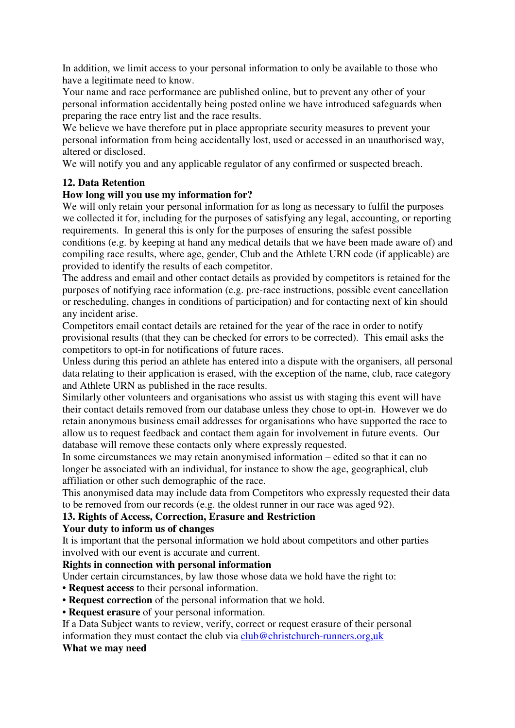In addition, we limit access to your personal information to only be available to those who have a legitimate need to know.

Your name and race performance are published online, but to prevent any other of your personal information accidentally being posted online we have introduced safeguards when preparing the race entry list and the race results.

We believe we have therefore put in place appropriate security measures to prevent your personal information from being accidentally lost, used or accessed in an unauthorised way, altered or disclosed.

We will notify you and any applicable regulator of any confirmed or suspected breach.

## **12. Data Retention**

## **How long will you use my information for?**

We will only retain your personal information for as long as necessary to fulfil the purposes we collected it for, including for the purposes of satisfying any legal, accounting, or reporting requirements. In general this is only for the purposes of ensuring the safest possible conditions (e.g. by keeping at hand any medical details that we have been made aware of) and compiling race results, where age, gender, Club and the Athlete URN code (if applicable) are provided to identify the results of each competitor.

The address and email and other contact details as provided by competitors is retained for the purposes of notifying race information (e.g. pre-race instructions, possible event cancellation or rescheduling, changes in conditions of participation) and for contacting next of kin should any incident arise.

Competitors email contact details are retained for the year of the race in order to notify provisional results (that they can be checked for errors to be corrected). This email asks the competitors to opt-in for notifications of future races.

Unless during this period an athlete has entered into a dispute with the organisers, all personal data relating to their application is erased, with the exception of the name, club, race category and Athlete URN as published in the race results.

Similarly other volunteers and organisations who assist us with staging this event will have their contact details removed from our database unless they chose to opt-in. However we do retain anonymous business email addresses for organisations who have supported the race to allow us to request feedback and contact them again for involvement in future events. Our database will remove these contacts only where expressly requested.

In some circumstances we may retain anonymised information – edited so that it can no longer be associated with an individual, for instance to show the age, geographical, club affiliation or other such demographic of the race.

This anonymised data may include data from Competitors who expressly requested their data to be removed from our records (e.g. the oldest runner in our race was aged 92).

## **13. Rights of Access, Correction, Erasure and Restriction**

## **Your duty to inform us of changes**

It is important that the personal information we hold about competitors and other parties involved with our event is accurate and current.

## **Rights in connection with personal information**

Under certain circumstances, by law those whose data we hold have the right to:

- **Request access** to their personal information.
- **Request correction** of the personal information that we hold.

• **Request erasure** of your personal information.

If a Data Subject wants to review, verify, correct or request erasure of their personal information they must contact the club via club@christchurch-runners.org,uk

## **What we may need**